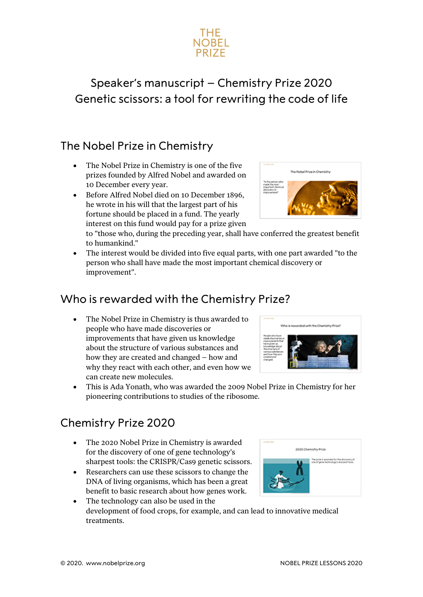

# Speaker's manuscript – Chemistry Prize 2020 Genetic scissors: a tool for rewriting the code of life

### The Nobel Prize in Chemistry

- The Nobel Prize in Chemistry is one of the five prizes founded by Alfred Nobel and awarded on 10 December every year.
- Before Alfred Nobel died on 10 December 1896, he wrote in his will that the largest part of his fortune should be placed in a fund. The yearly interest on this fund would pay for a prize given



to "those who, during the preceding year, shall have conferred the greatest benefit to humankind."

The interest would be divided into five equal parts, with one part awarded "to the person who shall have made the most important chemical discovery or improvement".

### Who is rewarded with the Chemistry Prize?

The Nobel Prize in Chemistry is thus awarded to people who have made discoveries or improvements that have given us knowledge about the structure of various substances and how they are created and changed – how and why they react with each other, and even how we can create new molecules.



• This is Ada Yonath, who was awarded the 2009 Nobel Prize in Chemistry for her pioneering contributions to studies of the ribosome.

### Chemistry Prize 2020

- The 2020 Nobel Prize in Chemistry is awarded for the discovery of one of gene technology's sharpest tools: the CRISPR/Cas9 genetic scissors.
- Researchers can use these scissors to change the DNA of living organisms, which has been a great benefit to basic research about how genes work.
- The technology can also be used in the development of food crops, for example, and can lead to innovative medical treatments.

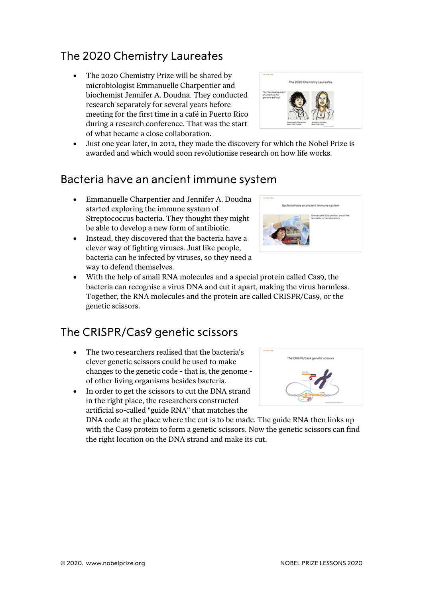# The 2020 Chemistry Laureates

• The 2020 Chemistry Prize will be shared by microbiologist Emmanuelle Charpentier and biochemist Jennifer A. Doudna. They conducted research separately for several years before meeting for the first time in a café in Puerto Rico during a research conference. That was the start of what became a close collaboration.



• Just one year later, in 2012, they made the discovery for which the Nobel Prize is awarded and which would soon revolutionise research on how life works.

#### Bacteria have an ancient immune system

- Emmanuelle Charpentier and Jennifer A. Doudna started exploring the immune system of Streptococcus bacteria. They thought they might be able to develop a new form of antibiotic.
- Instead, they discovered that the bacteria have a clever way of fighting viruses. Just like people, bacteria can be infected by viruses, so they need a way to defend themselves.



• With the help of small RNA molecules and a special protein called Cas9, the bacteria can recognise a virus DNA and cut it apart, making the virus harmless. Together, the RNA molecules and the protein are called CRISPR/Cas9, or the genetic scissors.

# The CRISPR/Cas9 genetic scissors

- The two researchers realised that the bacteria's clever genetic scissors could be used to make changes to the genetic code - that is, the genome of other living organisms besides bacteria.
- In order to get the scissors to cut the DNA strand in the right place, the researchers constructed artificial so-called "guide RNA" that matches the

DNA code at the place where the cut is to be made. The guide RNA then links up with the Cas9 protein to form a genetic scissors. Now the genetic scissors can find the right location on the DNA strand and make its cut.